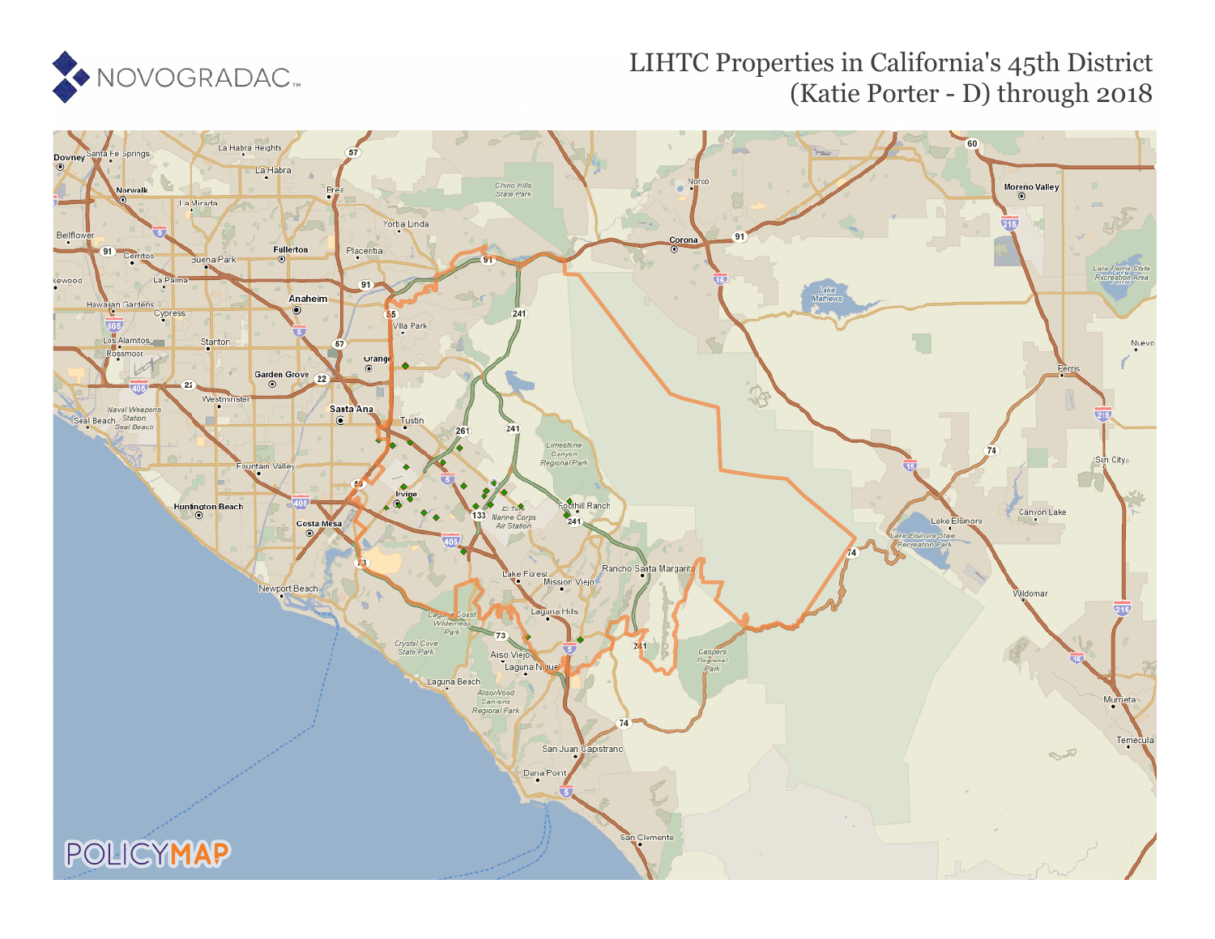

## LIHTC Properties in California's 45th District (Katie Porter - D) through 2018

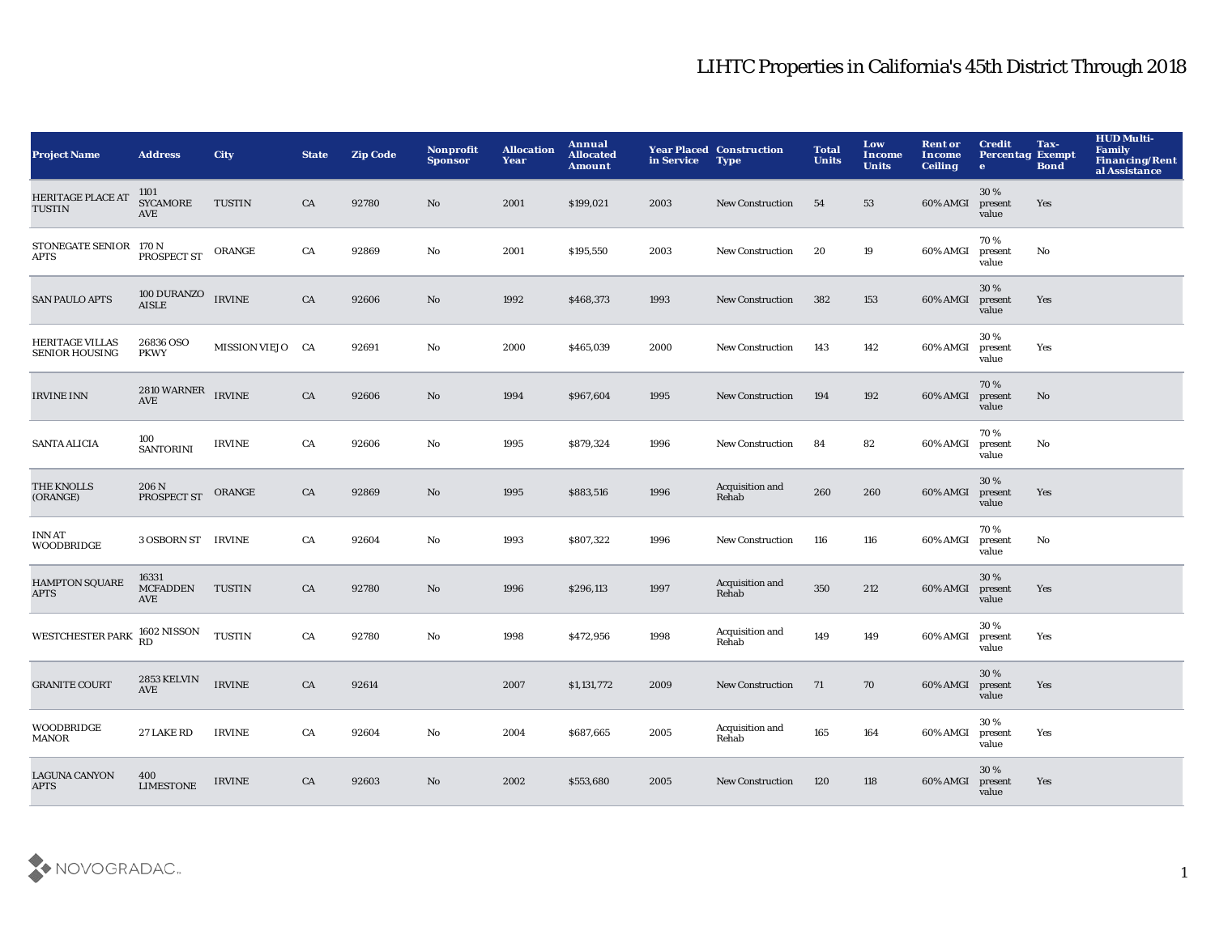## LIHTC Properties in California's 45th District Through 2018

| <b>Project Name</b>                             | <b>Address</b>                               | <b>City</b>      | <b>State</b> | <b>Zip Code</b> | Nonprofit<br><b>Sponsor</b> | <b>Allocation</b><br>Year | Annual<br><b>Allocated</b><br><b>Amount</b> | in Service | <b>Year Placed Construction</b><br><b>Type</b> | <b>Total</b><br><b>Units</b> | Low<br>Income<br><b>Units</b> | <b>Rent or</b><br>Income<br><b>Ceiling</b> | <b>Credit</b><br><b>Percentag Exempt</b><br>$\bullet$ | Tax-<br><b>Bond</b> | <b>HUD Multi-</b><br>Family<br><b>Financing/Rent</b><br>al Assistance |
|-------------------------------------------------|----------------------------------------------|------------------|--------------|-----------------|-----------------------------|---------------------------|---------------------------------------------|------------|------------------------------------------------|------------------------------|-------------------------------|--------------------------------------------|-------------------------------------------------------|---------------------|-----------------------------------------------------------------------|
| <b>HERITAGE PLACE AT</b><br><b>TUSTIN</b>       | 1101<br><b>SYCAMORE</b><br>AVE               | <b>TUSTIN</b>    | CA           | 92780           | No                          | 2001                      | \$199,021                                   | 2003       | <b>New Construction</b>                        | 54                           | 53                            | 60% AMGI                                   | 30 %<br>present<br>value                              | Yes                 |                                                                       |
| STONEGATE SENIOR 170 N<br><b>APTS</b>           | PROSPECT ST                                  | ORANGE           | CA           | 92869           | No                          | 2001                      | \$195,550                                   | 2003       | New Construction                               | 20                           | 19                            | 60% AMGI                                   | 70%<br>present<br>value                               | No                  |                                                                       |
| <b>SAN PAULO APTS</b>                           | <b>100 DURANZO</b><br><b>AISLE</b>           | <b>IRVINE</b>    | CA           | 92606           | $\rm No$                    | 1992                      | \$468,373                                   | 1993       | <b>New Construction</b>                        | 382                          | 153                           | 60% AMGI                                   | 30 %<br>present<br>value                              | Yes                 |                                                                       |
| <b>HERITAGE VILLAS</b><br><b>SENIOR HOUSING</b> | 26836 OSO<br><b>PKWY</b>                     | MISSION VIEJO CA |              | 92691           | No                          | 2000                      | \$465,039                                   | 2000       | <b>New Construction</b>                        | 143                          | 142                           | 60% AMGI                                   | 30%<br>present<br>value                               | Yes                 |                                                                       |
| <b>IRVINE INN</b>                               | 2810 WARNER<br>$\operatorname{\mathbf{AVE}}$ | <b>IRVINE</b>    | CA           | 92606           | $\rm No$                    | 1994                      | \$967,604                                   | 1995       | <b>New Construction</b>                        | 194                          | 192                           | 60% AMGI                                   | 70%<br>present<br>value                               | No                  |                                                                       |
| <b>SANTA ALICIA</b>                             | 100<br><b>SANTORINI</b>                      | <b>IRVINE</b>    | CA           | 92606           | $\mathbf{N}\mathbf{o}$      | 1995                      | \$879,324                                   | 1996       | <b>New Construction</b>                        | 84                           | 82                            | 60% AMGI                                   | 70%<br>present<br>value                               | No                  |                                                                       |
| THE KNOLLS<br>(ORANGE)                          | 206 N<br>PROSPECT ST                         | ORANGE           | CA           | 92869           | $\mathbf{N}\mathbf{o}$      | 1995                      | \$883,516                                   | 1996       | Acquisition and<br>Rehab                       | 260                          | 260                           | 60% AMGI                                   | 30%<br>present<br>value                               | Yes                 |                                                                       |
| <b>INN AT</b><br><b>WOODBRIDGE</b>              | 3 OSBORN ST IRVINE                           |                  | CA           | 92604           | No                          | 1993                      | \$807,322                                   | 1996       | <b>New Construction</b>                        | 116                          | 116                           | 60% AMGI                                   | 70 %<br>present<br>value                              | No                  |                                                                       |
| <b>HAMPTON SQUARE</b><br><b>APTS</b>            | 16331<br><b>MCFADDEN</b><br>AVE              | <b>TUSTIN</b>    | CA           | 92780           | No                          | 1996                      | \$296,113                                   | 1997       | Acquisition and<br>Rehab                       | 350                          | 212                           | 60% AMGI                                   | 30%<br>present<br>value                               | Yes                 |                                                                       |
| <b>WESTCHESTER PARK</b>                         | 1602 NISSON<br><b>RD</b>                     | <b>TUSTIN</b>    | CA           | 92780           | $\rm No$                    | 1998                      | \$472,956                                   | 1998       | Acquisition and<br>Rehab                       | 149                          | 149                           | 60% AMGI                                   | 30%<br>present<br>value                               | Yes                 |                                                                       |
| <b>GRANITE COURT</b>                            | <b>2853 KELVIN</b><br><b>AVE</b>             | <b>IRVINE</b>    | CA           | 92614           |                             | 2007                      | \$1,131,772                                 | 2009       | <b>New Construction</b>                        | 71                           | 70                            | 60% AMGI                                   | 30 %<br>present<br>value                              | Yes                 |                                                                       |
| <b>WOODBRIDGE</b><br><b>MANOR</b>               | 27 LAKE RD                                   | <b>IRVINE</b>    | CA           | 92604           | No                          | 2004                      | \$687,665                                   | 2005       | Acquisition and<br>Rehab                       | 165                          | 164                           | 60% AMGI                                   | 30%<br>present<br>value                               | Yes                 |                                                                       |
| <b>LAGUNA CANYON</b><br><b>APTS</b>             | 400<br><b>LIMESTONE</b>                      | <b>IRVINE</b>    | CA           | 92603           | $\mathbf{N}\mathbf{o}$      | 2002                      | \$553,680                                   | 2005       | <b>New Construction</b>                        | 120                          | 118                           | 60% AMGI                                   | 30 %<br>present<br>value                              | Yes                 |                                                                       |

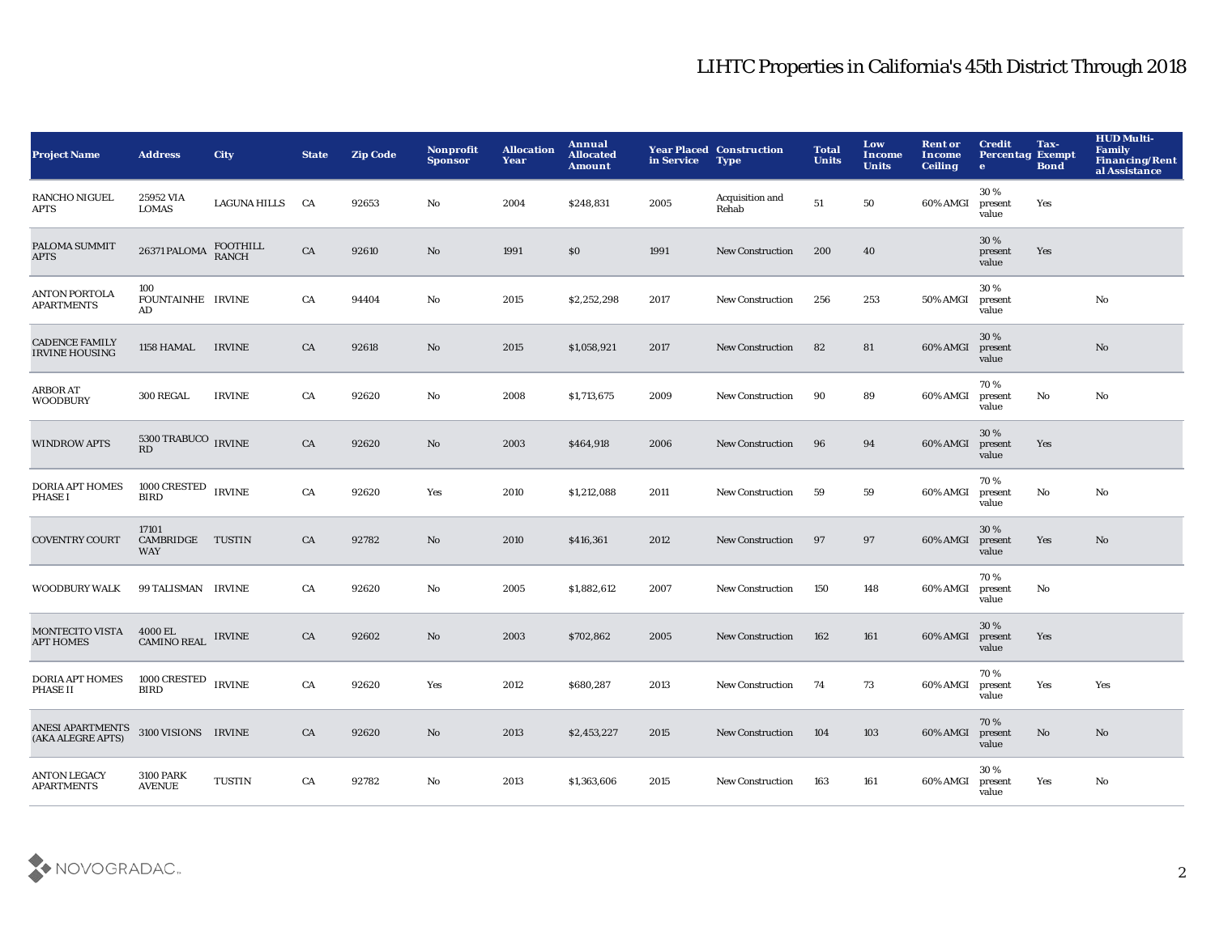## LIHTC Properties in California's 45th District Through 2018

| Project Name                                   | <b>Address</b>                              | City                | <b>State</b> | <b>Zip Code</b> | <b>Nonprofit</b><br><b>Sponsor</b> | <b>Allocation</b><br>Year | Annual<br><b>Allocated</b><br><b>Amount</b> | in Service | <b>Year Placed Construction</b><br><b>Type</b> | <b>Total</b><br><b>Units</b> | Low<br><b>Income</b><br><b>Units</b> | <b>Rent or</b><br><b>Income</b><br><b>Ceiling</b> | <b>Credit</b><br><b>Percentag Exempt</b><br>$\mathbf{e}$ | Tax-<br><b>Bond</b> | <b>HUD Multi-</b><br><b>Family</b><br><b>Financing/Rent</b><br>al Assistance |
|------------------------------------------------|---------------------------------------------|---------------------|--------------|-----------------|------------------------------------|---------------------------|---------------------------------------------|------------|------------------------------------------------|------------------------------|--------------------------------------|---------------------------------------------------|----------------------------------------------------------|---------------------|------------------------------------------------------------------------------|
| RANCHO NIGUEL<br>APTS                          | 25952 VIA<br><b>LOMAS</b>                   | <b>LAGUNA HILLS</b> | CA           | 92653           | No                                 | 2004                      | \$248,831                                   | 2005       | Acquisition and<br>Rehab                       | 51                           | 50                                   | 60% AMGI                                          | 30%<br>present<br>value                                  | Yes                 |                                                                              |
| PALOMA SUMMIT<br><b>APTS</b>                   | 26371 PALOMA                                | FOOTHILL<br>RANCH   | CA           | 92610           | No                                 | 1991                      | \$0                                         | 1991       | <b>New Construction</b>                        | 200                          | 40                                   |                                                   | 30%<br>present<br>value                                  | Yes                 |                                                                              |
| <b>ANTON PORTOLA</b><br><b>APARTMENTS</b>      | 100<br>FOUNTAINHE IRVINE<br>AD              |                     | CA           | 94404           | No                                 | 2015                      | \$2,252,298                                 | 2017       | <b>New Construction</b>                        | 256                          | 253                                  | 50% AMGI                                          | 30%<br>present<br>value                                  |                     | $\mathbf{N}\mathbf{o}$                                                       |
| <b>CADENCE FAMILY</b><br><b>IRVINE HOUSING</b> | 1158 HAMAL                                  | <b>IRVINE</b>       | CA           | 92618           | No                                 | 2015                      | \$1,058,921                                 | 2017       | New Construction                               | 82                           | 81                                   | 60% AMGI                                          | 30%<br>present<br>value                                  |                     | No                                                                           |
| ARBOR AT<br>WOODBURY                           | 300 REGAL                                   | <b>IRVINE</b>       | CA           | 92620           | No                                 | 2008                      | \$1,713,675                                 | 2009       | <b>New Construction</b>                        | 90                           | 89                                   | 60% AMGI                                          | 70%<br>present<br>value                                  | No                  | No                                                                           |
| <b>WINDROW APTS</b>                            | $5300\,{\rm TRABUCO}$ $_{\rm IRVINE}$<br>RD |                     | CA           | 92620           | No                                 | 2003                      | \$464,918                                   | 2006       | <b>New Construction</b>                        | 96                           | 94                                   | 60% AMGI                                          | 30 %<br>present<br>value                                 | Yes                 |                                                                              |
| DORIA APT HOMES<br>PHASE I                     | 1000 CRESTED<br><b>BIRD</b>                 | <b>IRVINE</b>       | CA           | 92620           | Yes                                | 2010                      | \$1,212,088                                 | 2011       | <b>New Construction</b>                        | 59                           | 59                                   | 60% AMGI                                          | 70%<br>present<br>value                                  | No                  | No                                                                           |
| <b>COVENTRY COURT</b>                          | 17101<br>CAMBRIDGE TUSTIN<br><b>WAY</b>     |                     | CA           | 92782           | No                                 | 2010                      | \$416,361                                   | 2012       | <b>New Construction</b>                        | 97                           | 97                                   | 60% AMGI                                          | 30 %<br>present<br>value                                 | Yes                 | No                                                                           |
| <b>WOODBURY WALK</b>                           | 99 TALISMAN IRVINE                          |                     | CA           | 92620           | No                                 | 2005                      | \$1,882,612                                 | 2007       | <b>New Construction</b>                        | 150                          | 148                                  | 60% AMGI                                          | 70%<br>present<br>value                                  | No                  |                                                                              |
| MONTECITO VISTA<br><b>APT HOMES</b>            | 4000 EL<br><b>CAMINO REAL</b>               | <b>IRVINE</b>       | ${\rm CA}$   | 92602           | No                                 | 2003                      | \$702,862                                   | 2005       | <b>New Construction</b>                        | 162                          | 161                                  | 60% AMGI                                          | 30 %<br>present<br>value                                 | Yes                 |                                                                              |
| <b>DORIA APT HOMES</b><br><b>PHASE II</b>      | 1000 CRESTED IRVINE<br><b>BIRD</b>          |                     | CA           | 92620           | Yes                                | 2012                      | \$680,287                                   | 2013       | <b>New Construction</b>                        | 74                           | 73                                   | 60% AMGI                                          | 70%<br>present<br>value                                  | Yes                 | Yes                                                                          |
| ANESI APARTMENTS<br>(AKA ALEGRE APTS)          | 3100 VISIONS IRVINE                         |                     | CA           | 92620           | No                                 | 2013                      | \$2,453,227                                 | 2015       | <b>New Construction</b>                        | 104                          | 103                                  | 60% AMGI                                          | 70%<br>present<br>value                                  | $\mathbf{No}$       | No                                                                           |
| <b>ANTON LEGACY</b><br><b>APARTMENTS</b>       | <b>3100 PARK</b><br><b>AVENUE</b>           | <b>TUSTIN</b>       | CA           | 92782           | No                                 | 2013                      | \$1,363,606                                 | 2015       | <b>New Construction</b>                        | 163                          | 161                                  | 60% AMGI                                          | 30%<br>present<br>value                                  | Yes                 | No                                                                           |